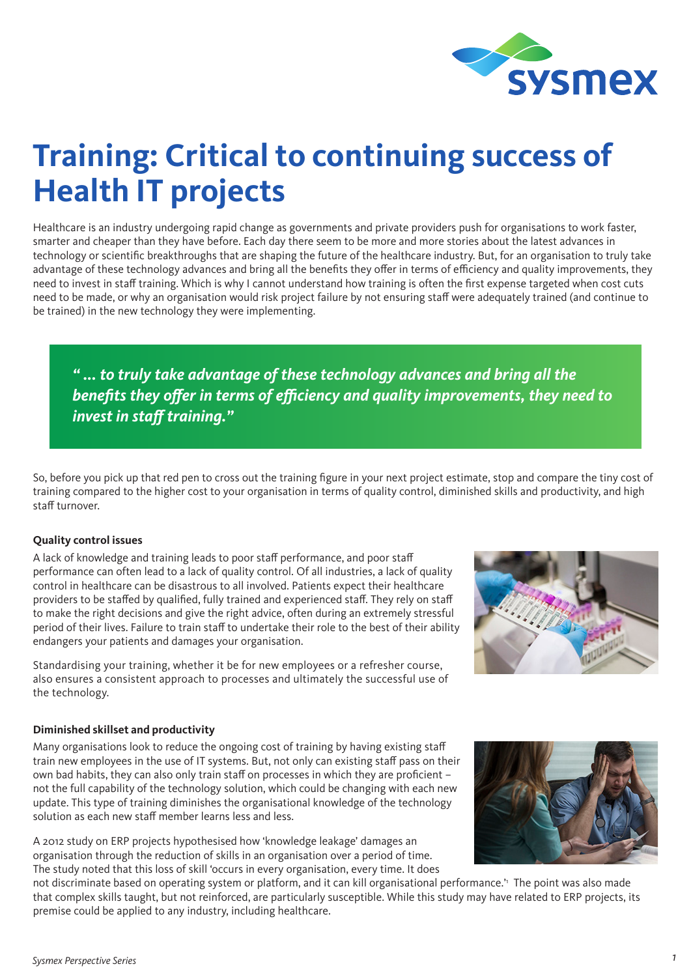

# **Training: Critical to continuing success of Health IT projects**

Healthcare is an industry undergoing rapid change as governments and private providers push for organisations to work faster, smarter and cheaper than they have before. Each day there seem to be more and more stories about the latest advances in technology or scientific breakthroughs that are shaping the future of the healthcare industry. But, for an organisation to truly take advantage of these technology advances and bring all the benefits they offer in terms of efficiency and quality improvements, they need to invest in staff training. Which is why I cannot understand how training is often the first expense targeted when cost cuts need to be made, or why an organisation would risk project failure by not ensuring staff were adequately trained (and continue to be trained) in the new technology they were implementing.

*" ... to truly take advantage of these technology advances and bring all the benefits they offer in terms of efficiency and quality improvements, they need to invest in staff training."*

So, before you pick up that red pen to cross out the training figure in your next project estimate, stop and compare the tiny cost of training compared to the higher cost to your organisation in terms of quality control, diminished skills and productivity, and high staff turnover.

## **Quality control issues**

A lack of knowledge and training leads to poor staff performance, and poor staff performance can often lead to a lack of quality control. Of all industries, a lack of quality control in healthcare can be disastrous to all involved. Patients expect their healthcare providers to be staffed by qualified, fully trained and experienced staff. They rely on staff to make the right decisions and give the right advice, often during an extremely stressful period of their lives. Failure to train staff to undertake their role to the best of their ability endangers your patients and damages your organisation.

Standardising your training, whether it be for new employees or a refresher course, also ensures a consistent approach to processes and ultimately the successful use of the technology.

## **Diminished skillset and productivity**

Many organisations look to reduce the ongoing cost of training by having existing staff train new employees in the use of IT systems. But, not only can existing staff pass on their own bad habits, they can also only train staff on processes in which they are proficient – not the full capability of the technology solution, which could be changing with each new update. This type of training diminishes the organisational knowledge of the technology solution as each new staff member learns less and less.

A 2012 study on ERP projects hypothesised how 'knowledge leakage' damages an organisation through the reduction of skills in an organisation over a period of time. The study noted that this loss of skill 'occurs in every organisation, every time. It does





not discriminate based on operating system or platform, and it can kill organisational performance.'1 The point was also made that complex skills taught, but not reinforced, are particularly susceptible. While this study may have related to ERP projects, its premise could be applied to any industry, including healthcare.